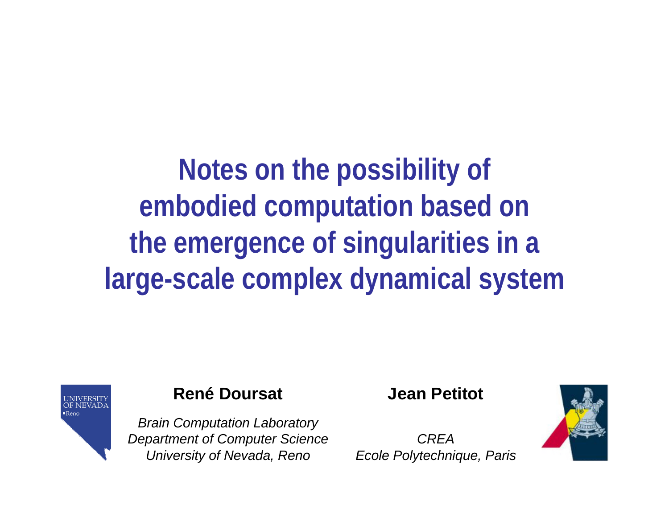**Notes on the possibility of embodied computation based on the emergence of singularities in a large-scale complex dynamical system**



#### **René Doursat**

*Brain Computation Laboratory Department of Computer Science University of Nevada, Reno*

**Jean Petitot**

*CREAEcole Polytechnique, Paris*

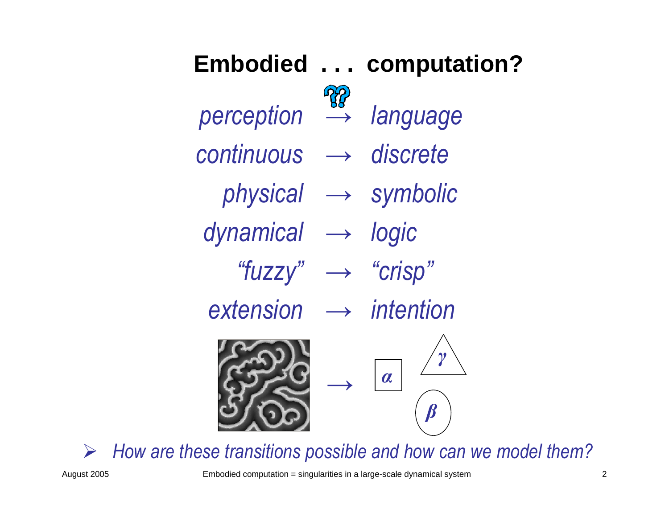

¾ *How are these transitions possible and how can we model them?*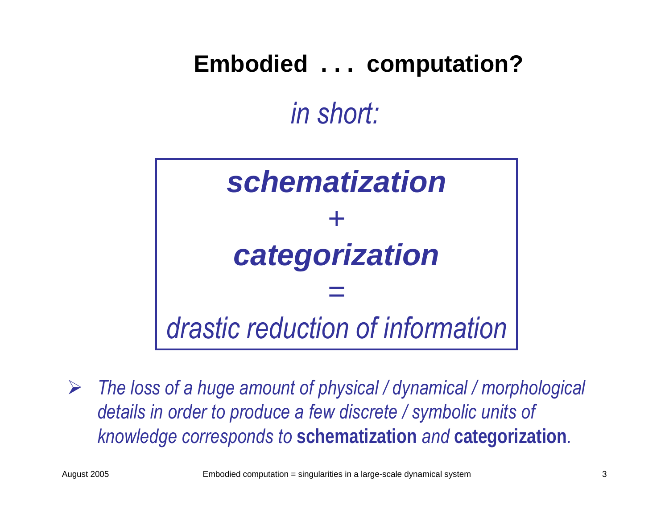# **Embodied . . . computation?** *in short:*



 $\blacktriangleright$  *The loss of a huge amount of physical / dynamical / morphological details in order to produce a few discrete / symbolic units of knowledge corresponds to* **schematization** *and* **categorization***.*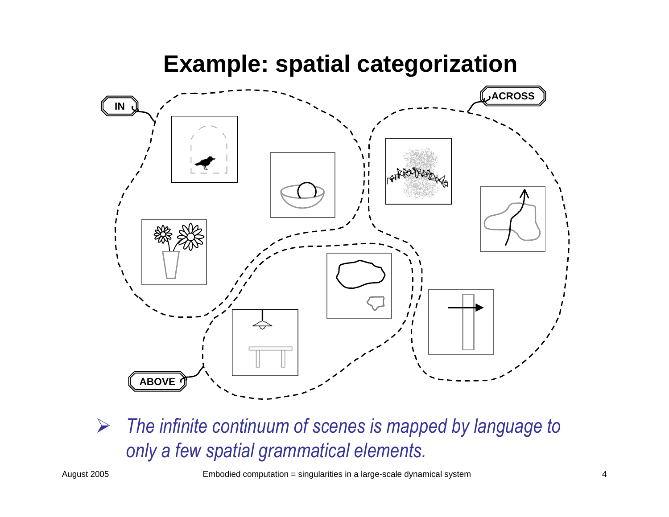### **Example: spatial categorization**



¾ *The infinite continuum of scenes is mapped by language to only a few spatial grammatical elements.*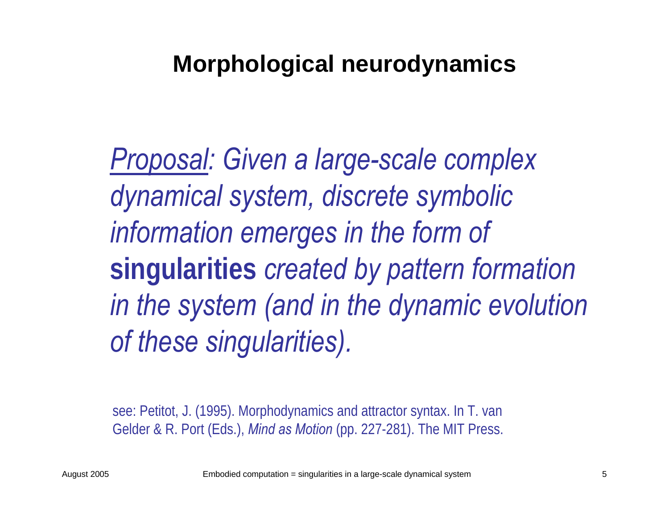### **Morphological neurodynamics**

*Proposal: Given a large-scale complex dynamical system, discrete symbolic information emerges in the form of*  **singularities** *created by pattern formation in the system (and in the dynamic evolution of these singularities).*

see: Petitot, J. (1995). Morphodynamics and attractor syntax. In T. van Gelder & R. Port (Eds.), *Mind as Motion* (pp. 227-281). The MIT Press.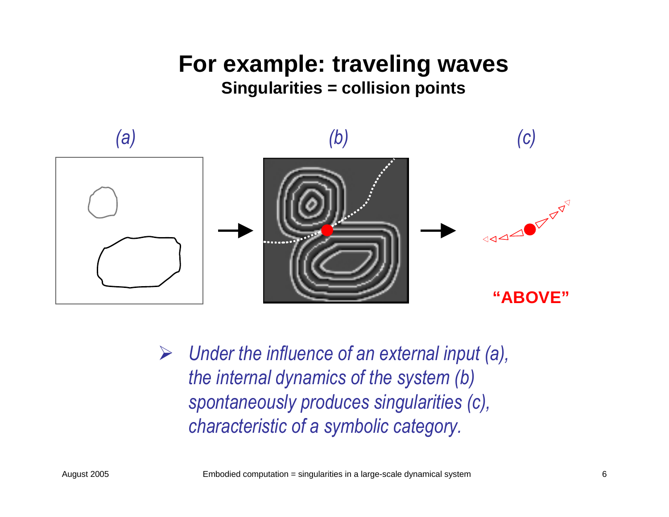#### **For example: traveling waves Singularities = collision points**



¾ *Under the influence of an external input (a), the internal dynamics of the system (b) spontaneously produces singularities (c), characteristic of a symbolic category.*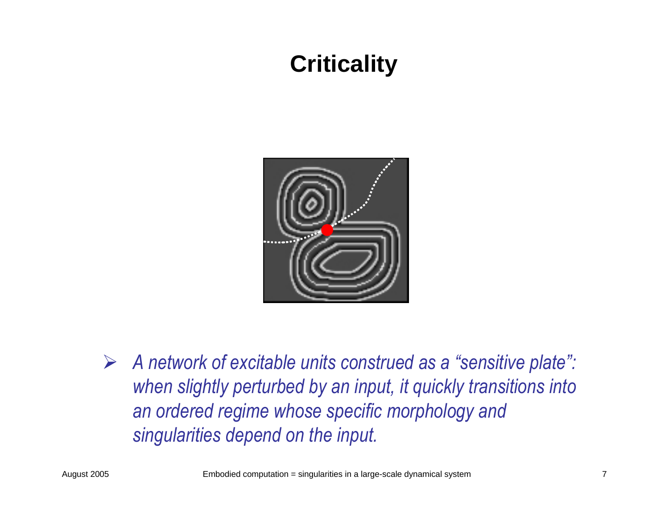### **Criticality**



¾ *A network of excitable units construed as a "sensitive plate": when slightly perturbed by an input, it quickly transitions into an ordered regime whose specific morphology and singularities depend on the input.*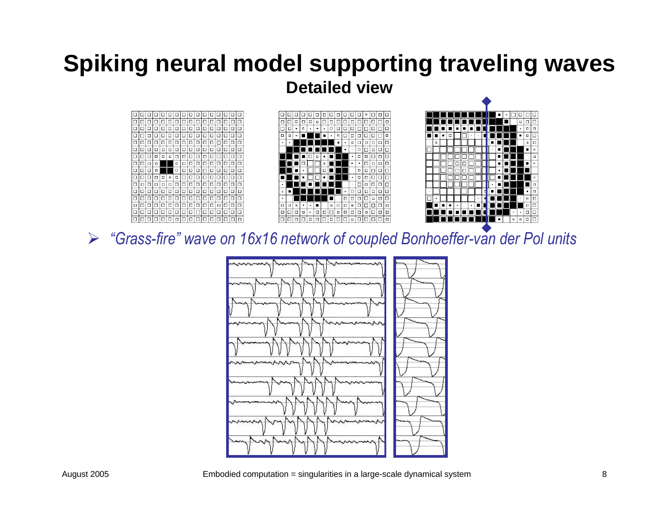#### **Spiking neural model supporting traveling waves Detailed view**







¾ *"Grass-fire" wave on 16x16 network of coupled Bonhoeffer-van der Pol units*

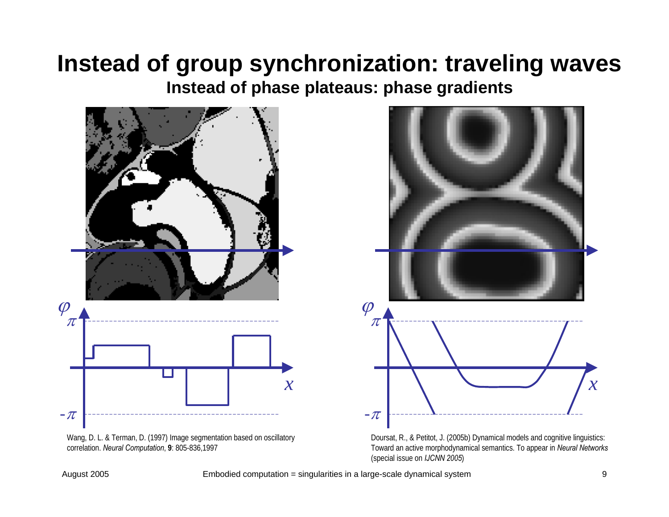#### **Instead of group synchronization: traveling waves Instead of phase plateaus: phase gradients**



Wang, D. L. & Terman, D. (1997) Image segmentation based on oscillatory correlation. *Neural Computation*, **9**: 805-836,1997



Doursat, R., & Petitot, J. (2005b) Dynamical models and cognitive linguistics: Toward an active morphodynamical semantics. To appear in *Neural Networks* (special issue on *IJCNN 2005*)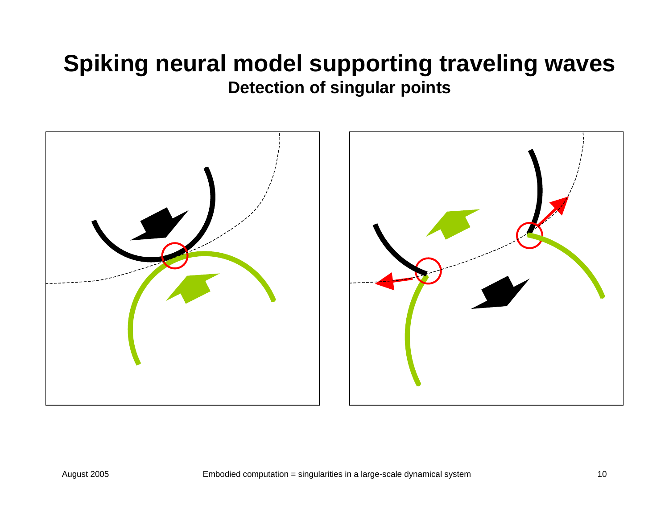#### **Spiking neural model supporting traveling waves Detection of singular points**



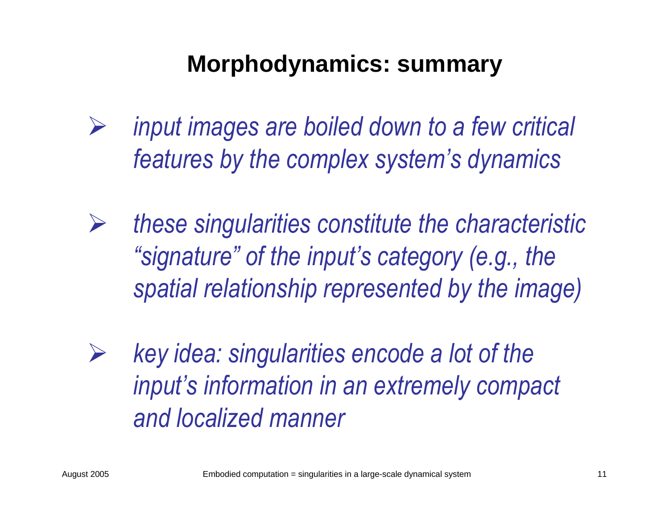### **Morphodynamics: summary**

- ¾ *input images are boiled down to a few critical features by the complex system's dynamics*
- ¾ *these singularities constitute the characteristic "signature" of the input's category (e.g., the spatial relationship represented by the image)*
- ¾ *key idea: singularities encode a lot of the input's information in an extremely compact and localized manner*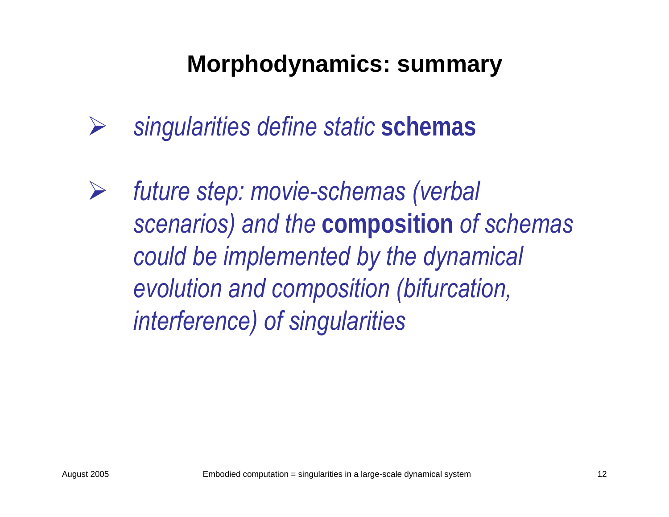### **Morphodynamics: summary**

- ¾*singularities define static* **schemas**
- ¾ *future step: movie-schemas (verbal scenarios) and the* **composition** *of schemas could be implemented by the dynamical evolution and composition (bifurcation, interference) of singularities*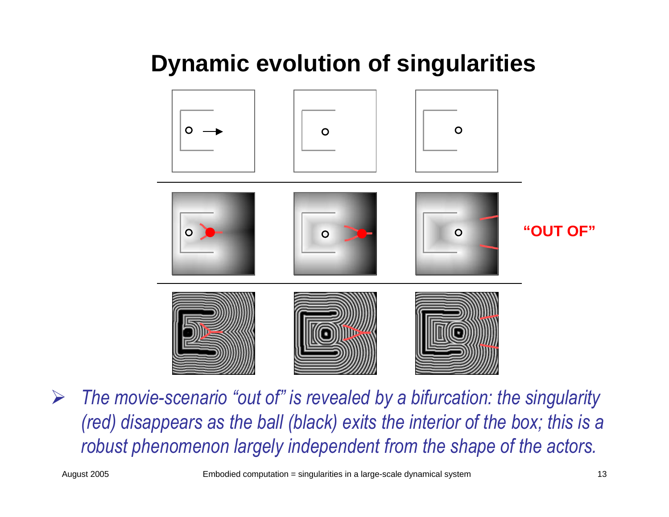## **Dynamic evolution of singularities**



¾ *The movie-scenario "out of" is revealed by a bifurcation: the singularity (red) disappears as the ball (black) exits the interior of the box; this is a robust phenomenon largely independent from the shape of the actors.*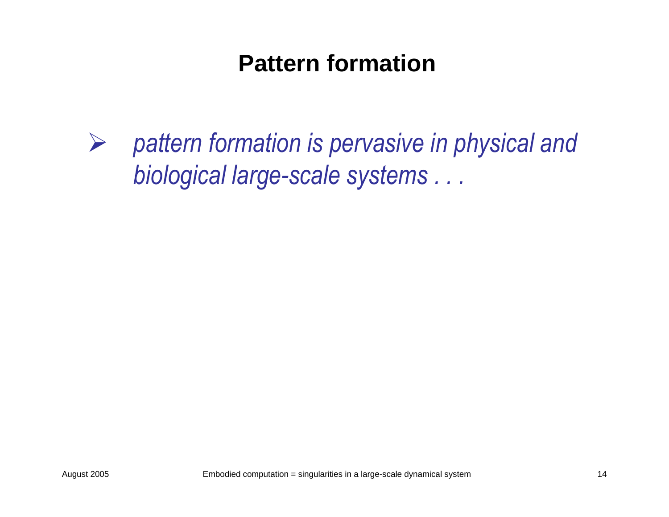### **Pattern formation**

¾ *pattern formation is pervasive in physical and biological large-scale systems . . .*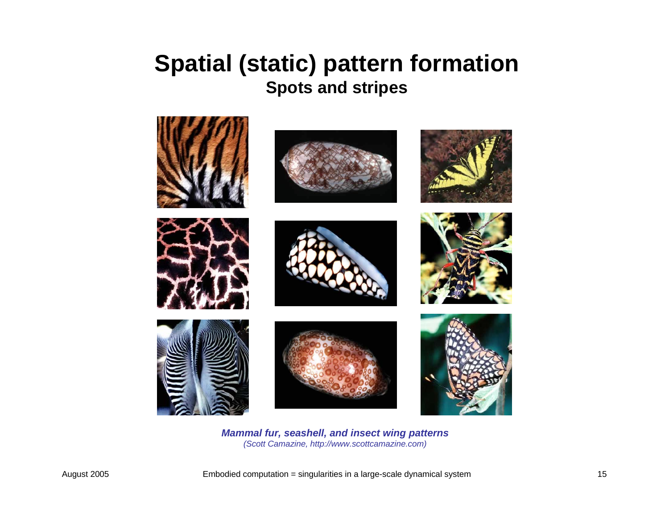#### **Spatial (static) pattern formation Spots and stripes**



*Mammal fur, seashell, and insect wing patte rns (Scott Camazine, http://www.scottcamazine. com)*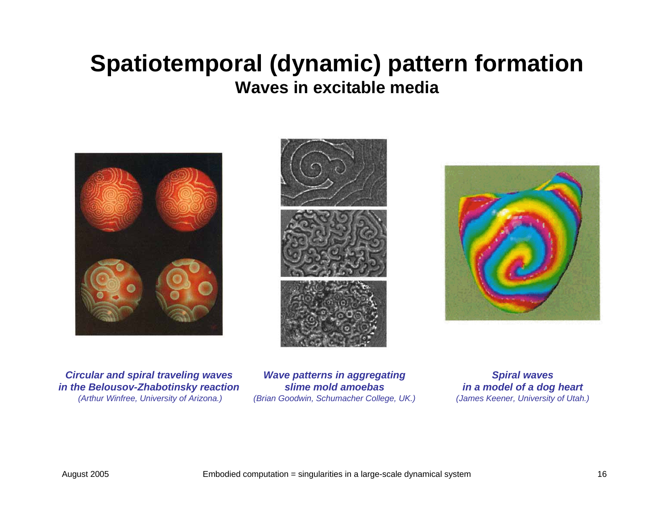#### **Spatiotemporal (dynamic) pattern formation Waves in excitable media**







*Circ ular an d spiral travelin g waves in the Belousov-Zhabotinsky rea ction(Arthur Winfree, University of Arizona.)*

*Wave patterns in aggregatin g slime mold amoebas(Brian Goodwin, Schu mach er College, UK.)*

*Spiral wave sinamodel ofa dog he art(James Ke e ner, University of Uta h.)*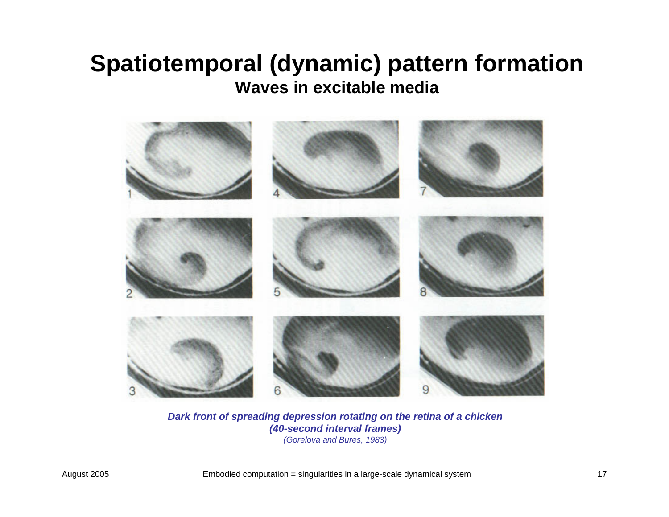#### **Spatiotemporal (dynamic) pattern formation Waves in excitable media**



*Dark front of spreading depression rotating on the retina of a chicken (40-seco n d inte r val frames)*

*(Gorelova a nd B ures, 1 9 83)*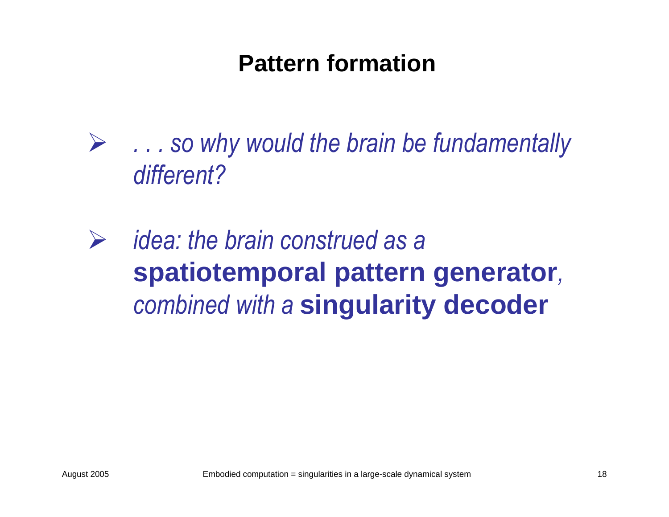### **Pattern formation**

¾ *. . . so why would the brain be fundamentally different?*

¾ *idea: the brain construed as a*  **spatiotemporal pattern generator***, combined with a* **singularity decoder**